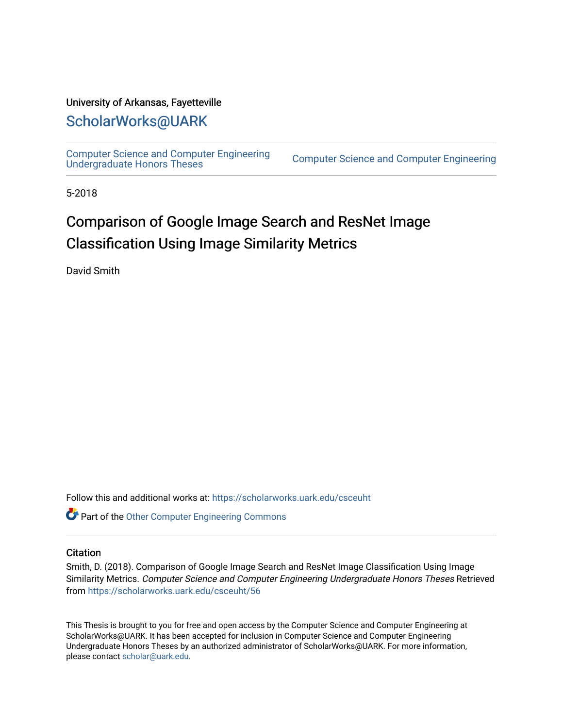#### University of Arkansas, Fayetteville

# [ScholarWorks@UARK](https://scholarworks.uark.edu/)

[Computer Science and Computer Engineering](https://scholarworks.uark.edu/csceuht) 

Computer Science and Computer Engineering

5-2018

# Comparison of Google Image Search and ResNet Image Classification Using Image Similarity Metrics

David Smith

Follow this and additional works at: [https://scholarworks.uark.edu/csceuht](https://scholarworks.uark.edu/csceuht?utm_source=scholarworks.uark.edu%2Fcsceuht%2F56&utm_medium=PDF&utm_campaign=PDFCoverPages)

Part of the [Other Computer Engineering Commons](http://network.bepress.com/hgg/discipline/265?utm_source=scholarworks.uark.edu%2Fcsceuht%2F56&utm_medium=PDF&utm_campaign=PDFCoverPages)

#### **Citation**

Smith, D. (2018). Comparison of Google Image Search and ResNet Image Classification Using Image Similarity Metrics. Computer Science and Computer Engineering Undergraduate Honors Theses Retrieved from [https://scholarworks.uark.edu/csceuht/56](https://scholarworks.uark.edu/csceuht/56?utm_source=scholarworks.uark.edu%2Fcsceuht%2F56&utm_medium=PDF&utm_campaign=PDFCoverPages) 

This Thesis is brought to you for free and open access by the Computer Science and Computer Engineering at ScholarWorks@UARK. It has been accepted for inclusion in Computer Science and Computer Engineering Undergraduate Honors Theses by an authorized administrator of ScholarWorks@UARK. For more information, please contact [scholar@uark.edu](mailto:scholar@uark.edu).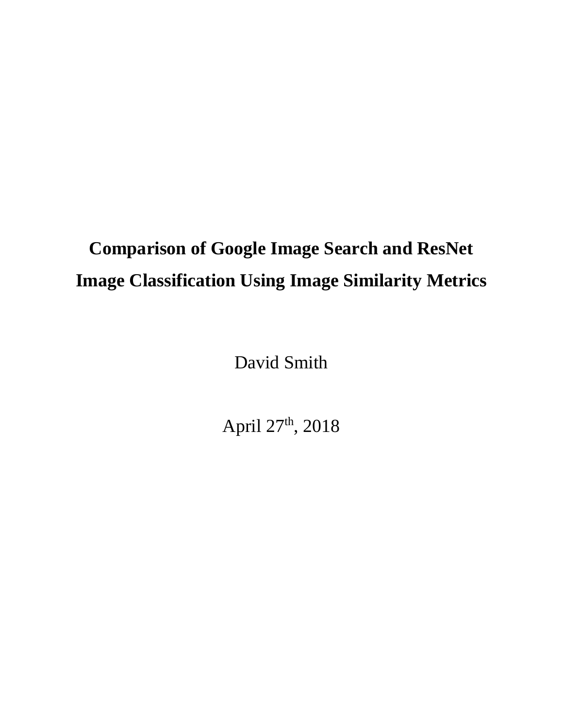# **Comparison of Google Image Search and ResNet Image Classification Using Image Similarity Metrics**

David Smith

April 27th, 2018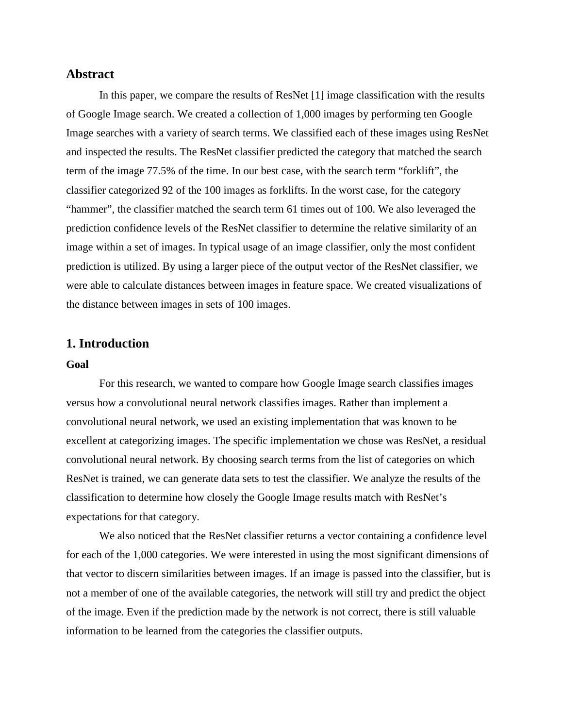#### **Abstract**

In this paper, we compare the results of ResNet [1] image classification with the results of Google Image search. We created a collection of 1,000 images by performing ten Google Image searches with a variety of search terms. We classified each of these images using ResNet and inspected the results. The ResNet classifier predicted the category that matched the search term of the image 77.5% of the time. In our best case, with the search term "forklift", the classifier categorized 92 of the 100 images as forklifts. In the worst case, for the category "hammer", the classifier matched the search term 61 times out of 100. We also leveraged the prediction confidence levels of the ResNet classifier to determine the relative similarity of an image within a set of images. In typical usage of an image classifier, only the most confident prediction is utilized. By using a larger piece of the output vector of the ResNet classifier, we were able to calculate distances between images in feature space. We created visualizations of the distance between images in sets of 100 images.

#### **1. Introduction**

#### **Goal**

For this research, we wanted to compare how Google Image search classifies images versus how a convolutional neural network classifies images. Rather than implement a convolutional neural network, we used an existing implementation that was known to be excellent at categorizing images. The specific implementation we chose was ResNet, a residual convolutional neural network. By choosing search terms from the list of categories on which ResNet is trained, we can generate data sets to test the classifier. We analyze the results of the classification to determine how closely the Google Image results match with ResNet's expectations for that category.

We also noticed that the ResNet classifier returns a vector containing a confidence level for each of the 1,000 categories. We were interested in using the most significant dimensions of that vector to discern similarities between images. If an image is passed into the classifier, but is not a member of one of the available categories, the network will still try and predict the object of the image. Even if the prediction made by the network is not correct, there is still valuable information to be learned from the categories the classifier outputs.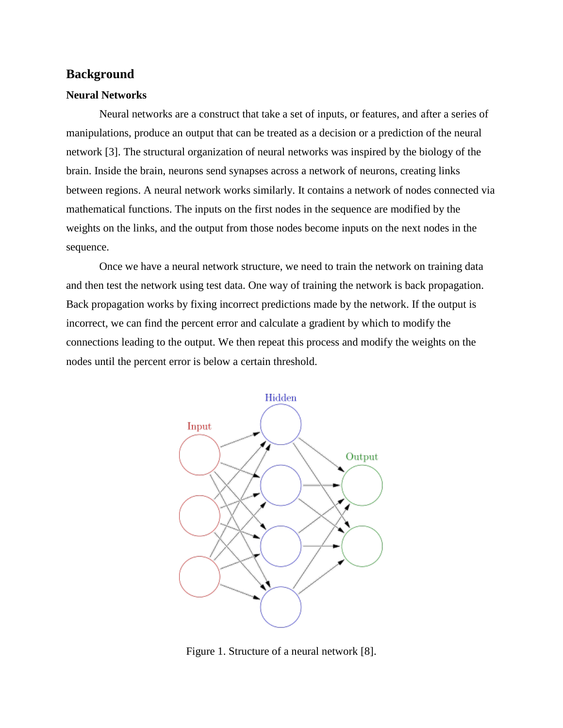#### **Background**

#### **Neural Networks**

Neural networks are a construct that take a set of inputs, or features, and after a series of manipulations, produce an output that can be treated as a decision or a prediction of the neural network [3]. The structural organization of neural networks was inspired by the biology of the brain. Inside the brain, neurons send synapses across a network of neurons, creating links between regions. A neural network works similarly. It contains a network of nodes connected via mathematical functions. The inputs on the first nodes in the sequence are modified by the weights on the links, and the output from those nodes become inputs on the next nodes in the sequence.

Once we have a neural network structure, we need to train the network on training data and then test the network using test data. One way of training the network is back propagation. Back propagation works by fixing incorrect predictions made by the network. If the output is incorrect, we can find the percent error and calculate a gradient by which to modify the connections leading to the output. We then repeat this process and modify the weights on the nodes until the percent error is below a certain threshold.



Figure 1. Structure of a neural network [8].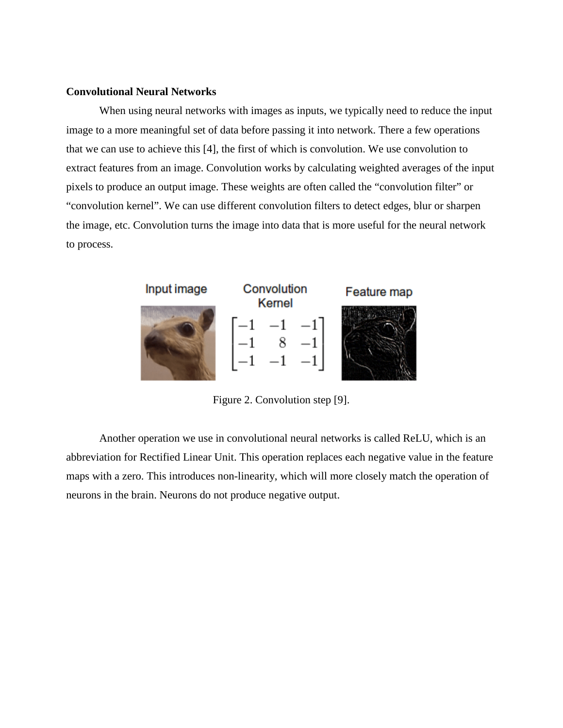#### **Convolutional Neural Networks**

When using neural networks with images as inputs, we typically need to reduce the input image to a more meaningful set of data before passing it into network. There a few operations that we can use to achieve this [4], the first of which is convolution. We use convolution to extract features from an image. Convolution works by calculating weighted averages of the input pixels to produce an output image. These weights are often called the "convolution filter" or "convolution kernel". We can use different convolution filters to detect edges, blur or sharpen the image, etc. Convolution turns the image into data that is more useful for the neural network to process.



Figure 2. Convolution step [9].

Another operation we use in convolutional neural networks is called ReLU, which is an abbreviation for Rectified Linear Unit. This operation replaces each negative value in the feature maps with a zero. This introduces non-linearity, which will more closely match the operation of neurons in the brain. Neurons do not produce negative output.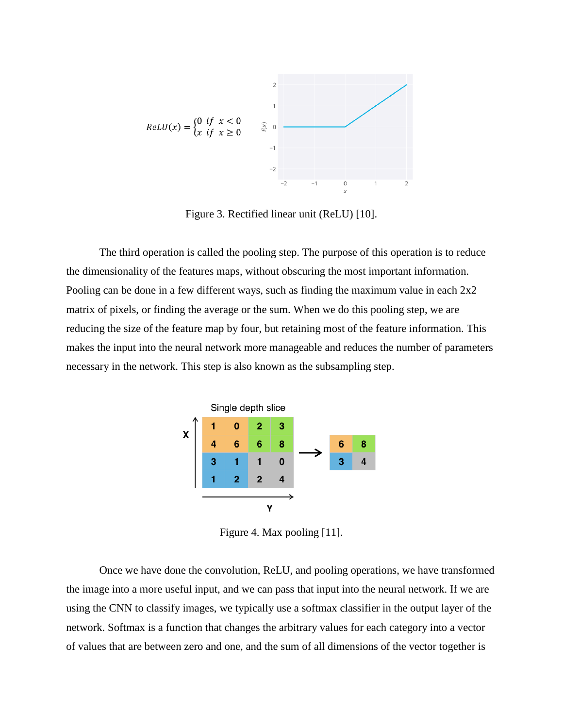

Figure 3. Rectified linear unit (ReLU) [10].

The third operation is called the pooling step. The purpose of this operation is to reduce the dimensionality of the features maps, without obscuring the most important information. Pooling can be done in a few different ways, such as finding the maximum value in each 2x2 matrix of pixels, or finding the average or the sum. When we do this pooling step, we are reducing the size of the feature map by four, but retaining most of the feature information. This makes the input into the neural network more manageable and reduces the number of parameters necessary in the network. This step is also known as the subsampling step.



Figure 4. Max pooling [11].

Once we have done the convolution, ReLU, and pooling operations, we have transformed the image into a more useful input, and we can pass that input into the neural network. If we are using the CNN to classify images, we typically use a softmax classifier in the output layer of the network. Softmax is a function that changes the arbitrary values for each category into a vector of values that are between zero and one, and the sum of all dimensions of the vector together is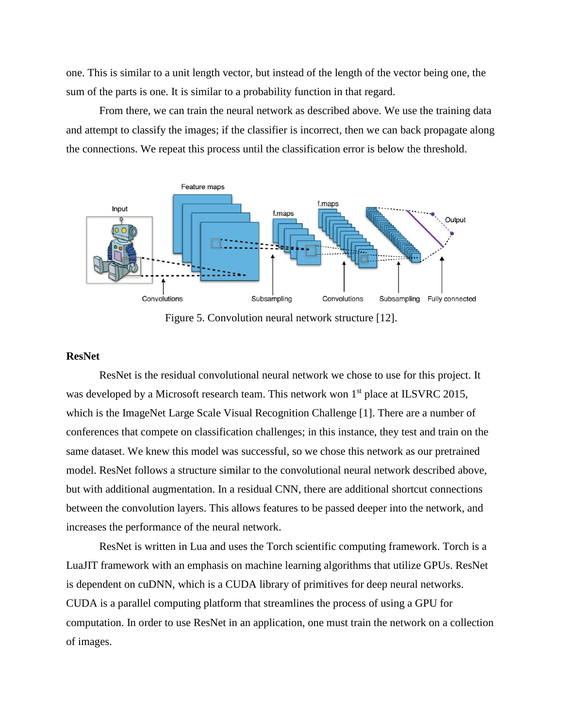one. This is similar to a unit length vector, but instead of the length of the vector being one, the sum of the parts is one. It is similar to a probability function in that regard.

From there, we can train the neural network as described above. We use the training data and attempt to classify the images; if the classifier is incorrect, then we can back propagate along the connections. We repeat this process until the classification error is below the threshold.



Figure 5. Convolution neural network structure [12].

#### **ResNet**

ResNet is the residual convolutional neural network we chose to use for this project. It was developed by a Microsoft research team. This network won 1<sup>st</sup> place at ILSVRC 2015, which is the ImageNet Large Scale Visual Recognition Challenge [1]. There are a number of conferences that compete on classification challenges; in this instance, they test and train on the same dataset. We knew this model was successful, so we chose this network as our pretrained model. ResNet follows a structure similar to the convolutional neural network described above, but with additional augmentation. In a residual CNN, there are additional shortcut connections between the convolution layers. This allows features to be passed deeper into the network, and increases the performance of the neural network.

ResNet is written in Lua and uses the Torch scientific computing framework. Torch is a LuaJIT framework with an emphasis on machine learning algorithms that utilize GPUs. ResNet is dependent on cuDNN, which is a CUDA library of primitives for deep neural networks. CUDA is a parallel computing platform that streamlines the process of using a GPU for computation. In order to use ResNet in an application, one must train the network on a collection of images.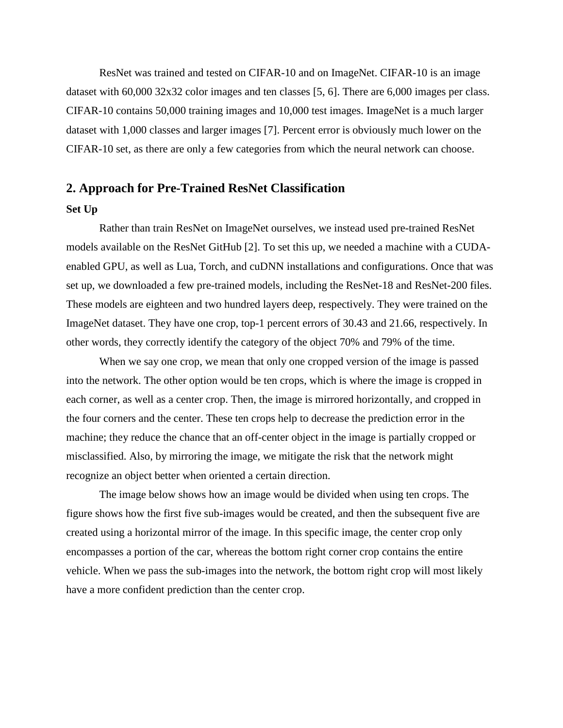ResNet was trained and tested on CIFAR-10 and on ImageNet. CIFAR-10 is an image dataset with 60,000 32x32 color images and ten classes [5, 6]. There are 6,000 images per class. CIFAR-10 contains 50,000 training images and 10,000 test images. ImageNet is a much larger dataset with 1,000 classes and larger images [7]. Percent error is obviously much lower on the CIFAR-10 set, as there are only a few categories from which the neural network can choose.

#### **2. Approach for Pre-Trained ResNet Classification**

#### **Set Up**

Rather than train ResNet on ImageNet ourselves, we instead used pre-trained ResNet models available on the ResNet GitHub [2]. To set this up, we needed a machine with a CUDAenabled GPU, as well as Lua, Torch, and cuDNN installations and configurations. Once that was set up, we downloaded a few pre-trained models, including the ResNet-18 and ResNet-200 files. These models are eighteen and two hundred layers deep, respectively. They were trained on the ImageNet dataset. They have one crop, top-1 percent errors of 30.43 and 21.66, respectively. In other words, they correctly identify the category of the object 70% and 79% of the time.

When we say one crop, we mean that only one cropped version of the image is passed into the network. The other option would be ten crops, which is where the image is cropped in each corner, as well as a center crop. Then, the image is mirrored horizontally, and cropped in the four corners and the center. These ten crops help to decrease the prediction error in the machine; they reduce the chance that an off-center object in the image is partially cropped or misclassified. Also, by mirroring the image, we mitigate the risk that the network might recognize an object better when oriented a certain direction.

The image below shows how an image would be divided when using ten crops. The figure shows how the first five sub-images would be created, and then the subsequent five are created using a horizontal mirror of the image. In this specific image, the center crop only encompasses a portion of the car, whereas the bottom right corner crop contains the entire vehicle. When we pass the sub-images into the network, the bottom right crop will most likely have a more confident prediction than the center crop.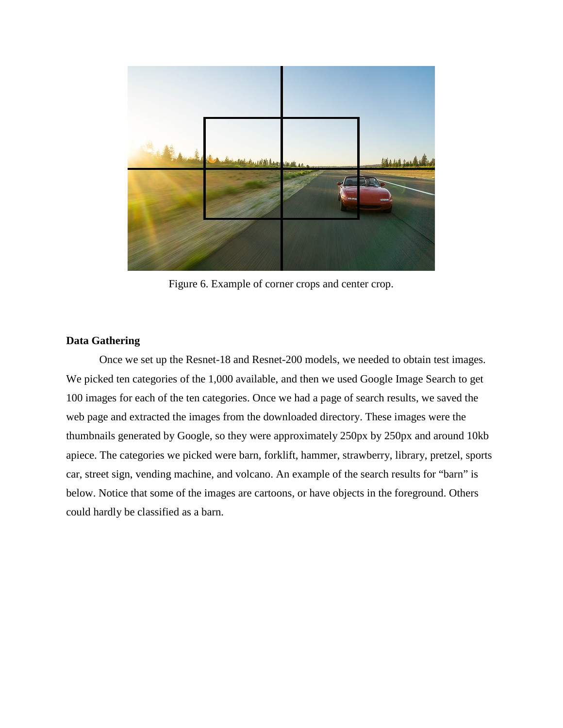

Figure 6. Example of corner crops and center crop.

#### **Data Gathering**

Once we set up the Resnet-18 and Resnet-200 models, we needed to obtain test images. We picked ten categories of the 1,000 available, and then we used Google Image Search to get 100 images for each of the ten categories. Once we had a page of search results, we saved the web page and extracted the images from the downloaded directory. These images were the thumbnails generated by Google, so they were approximately 250px by 250px and around 10kb apiece. The categories we picked were barn, forklift, hammer, strawberry, library, pretzel, sports car, street sign, vending machine, and volcano. An example of the search results for "barn" is below. Notice that some of the images are cartoons, or have objects in the foreground. Others could hardly be classified as a barn.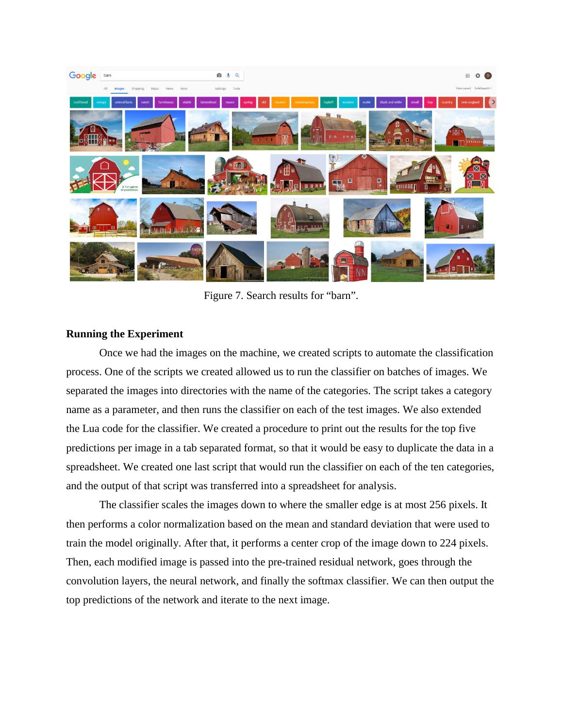

Figure 7. Search results for "barn".

#### **Running the Experiment**

Once we had the images on the machine, we created scripts to automate the classification process. One of the scripts we created allowed us to run the classifier on batches of images. We separated the images into directories with the name of the categories. The script takes a category name as a parameter, and then runs the classifier on each of the test images. We also extended the Lua code for the classifier. We created a procedure to print out the results for the top five predictions per image in a tab separated format, so that it would be easy to duplicate the data in a spreadsheet. We created one last script that would run the classifier on each of the ten categories, and the output of that script was transferred into a spreadsheet for analysis.

The classifier scales the images down to where the smaller edge is at most 256 pixels. It then performs a color normalization based on the mean and standard deviation that were used to train the model originally. After that, it performs a center crop of the image down to 224 pixels. Then, each modified image is passed into the pre-trained residual network, goes through the convolution layers, the neural network, and finally the softmax classifier. We can then output the top predictions of the network and iterate to the next image.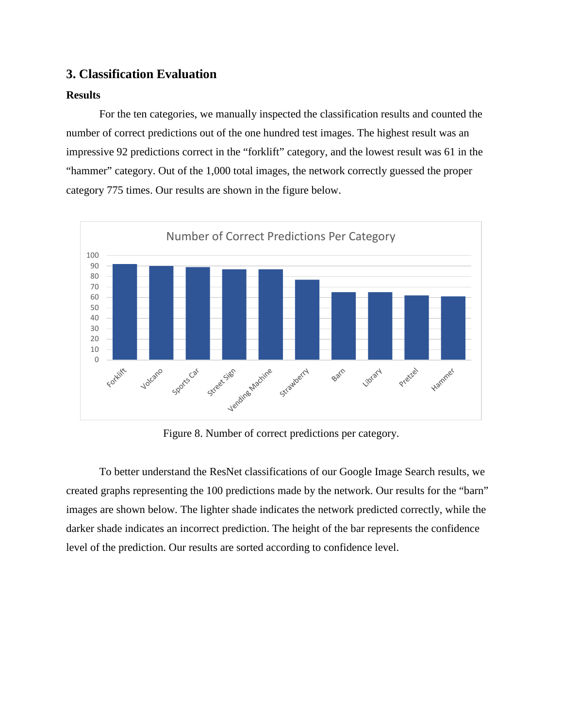### **3. Classification Evaluation**

#### **Results**

For the ten categories, we manually inspected the classification results and counted the number of correct predictions out of the one hundred test images. The highest result was an impressive 92 predictions correct in the "forklift" category, and the lowest result was 61 in the "hammer" category. Out of the 1,000 total images, the network correctly guessed the proper category 775 times. Our results are shown in the figure below.



Figure 8. Number of correct predictions per category.

To better understand the ResNet classifications of our Google Image Search results, we created graphs representing the 100 predictions made by the network. Our results for the "barn" images are shown below. The lighter shade indicates the network predicted correctly, while the darker shade indicates an incorrect prediction. The height of the bar represents the confidence level of the prediction. Our results are sorted according to confidence level.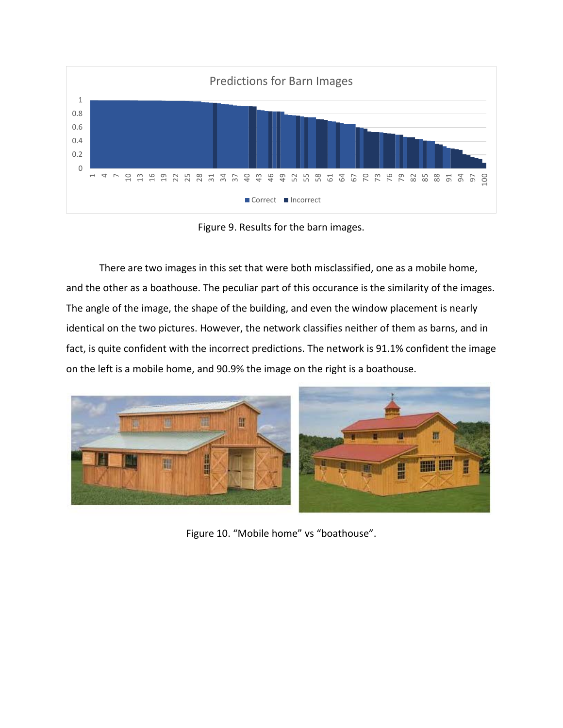

Figure 9. Results for the barn images.

There are two images in this set that were both misclassified, one as a mobile home, and the other as a boathouse. The peculiar part of this occurance is the similarity of the images. The angle of the image, the shape of the building, and even the window placement is nearly identical on the two pictures. However, the network classifies neither of them as barns, and in fact, is quite confident with the incorrect predictions. The network is 91.1% confident the image on the left is a mobile home, and 90.9% the image on the right is a boathouse.



Figure 10. "Mobile home" vs "boathouse".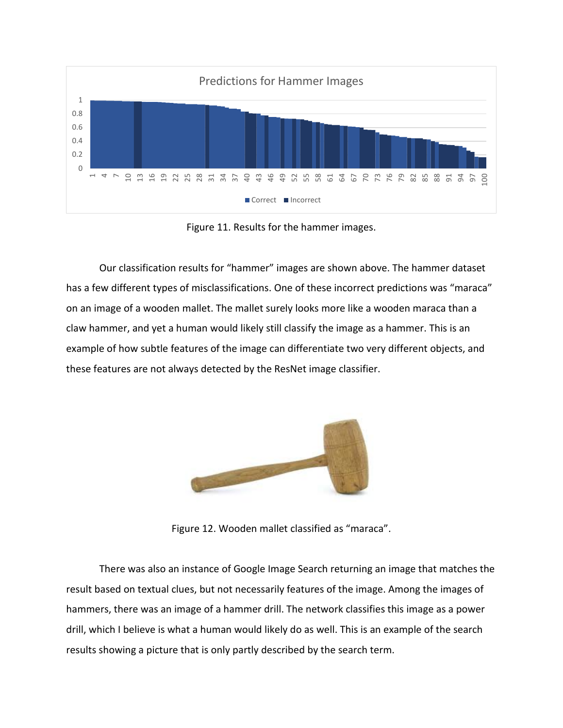

Figure 11. Results for the hammer images.

Our classification results for "hammer" images are shown above. The hammer dataset has a few different types of misclassifications. One of these incorrect predictions was "maraca" on an image of a wooden mallet. The mallet surely looks more like a wooden maraca than a claw hammer, and yet a human would likely still classify the image as a hammer. This is an example of how subtle features of the image can differentiate two very different objects, and these features are not always detected by the ResNet image classifier.



Figure 12. Wooden mallet classified as "maraca".

There was also an instance of Google Image Search returning an image that matches the result based on textual clues, but not necessarily features of the image. Among the images of hammers, there was an image of a hammer drill. The network classifies this image as a power drill, which I believe is what a human would likely do as well. This is an example of the search results showing a picture that is only partly described by the search term.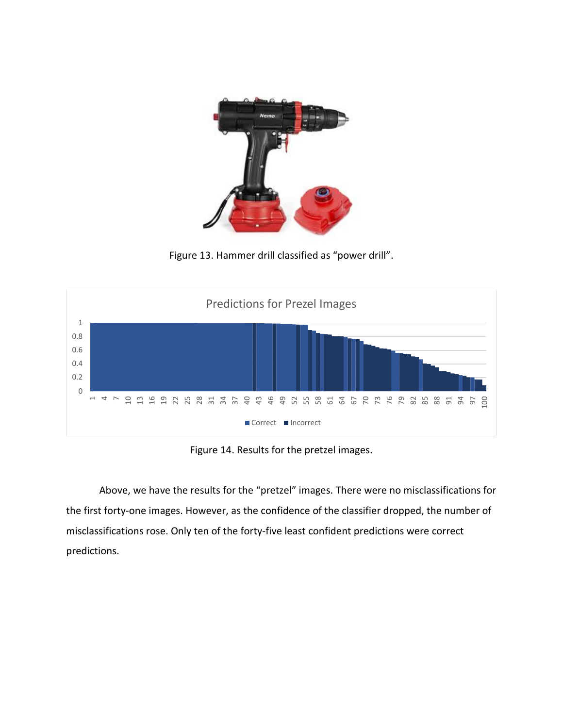

Figure 13. Hammer drill classified as "power drill".



Figure 14. Results for the pretzel images.

Above, we have the results for the "pretzel" images. There were no misclassifications for the first forty-one images. However, as the confidence of the classifier dropped, the number of misclassifications rose. Only ten of the forty-five least confident predictions were correct predictions.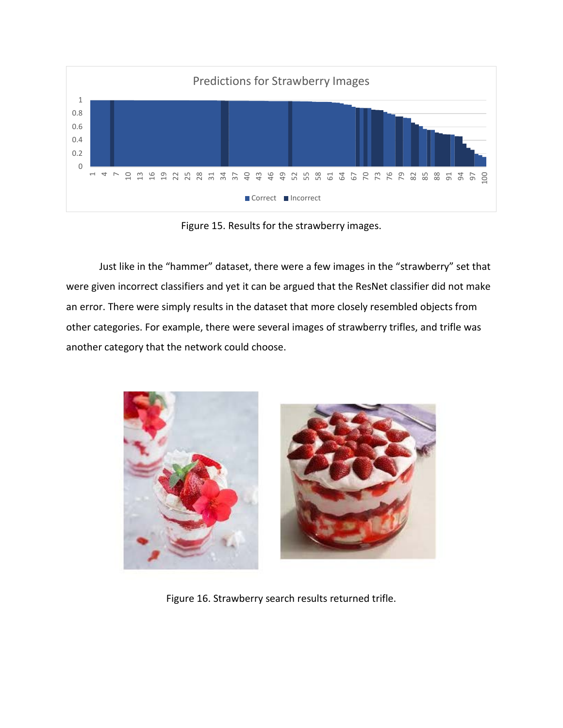

Figure 15. Results for the strawberry images.

Just like in the "hammer" dataset, there were a few images in the "strawberry" set that were given incorrect classifiers and yet it can be argued that the ResNet classifier did not make an error. There were simply results in the dataset that more closely resembled objects from other categories. For example, there were several images of strawberry trifles, and trifle was another category that the network could choose.



Figure 16. Strawberry search results returned trifle.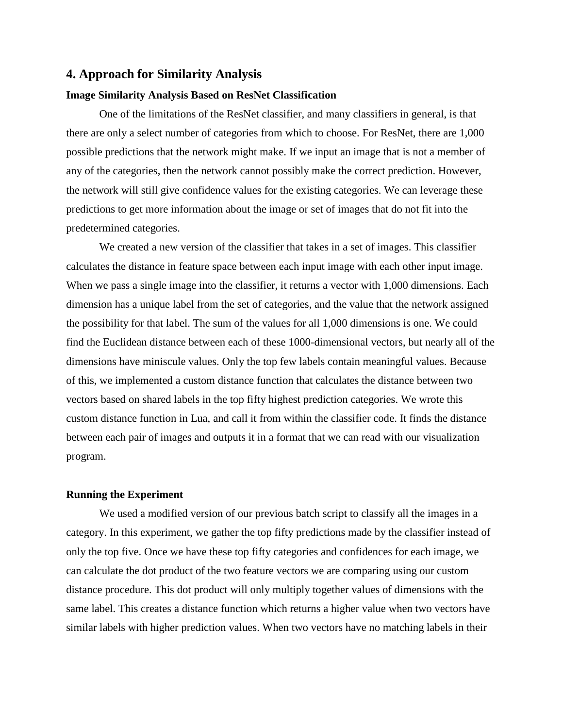#### **4. Approach for Similarity Analysis**

#### **Image Similarity Analysis Based on ResNet Classification**

One of the limitations of the ResNet classifier, and many classifiers in general, is that there are only a select number of categories from which to choose. For ResNet, there are 1,000 possible predictions that the network might make. If we input an image that is not a member of any of the categories, then the network cannot possibly make the correct prediction. However, the network will still give confidence values for the existing categories. We can leverage these predictions to get more information about the image or set of images that do not fit into the predetermined categories.

We created a new version of the classifier that takes in a set of images. This classifier calculates the distance in feature space between each input image with each other input image. When we pass a single image into the classifier, it returns a vector with 1,000 dimensions. Each dimension has a unique label from the set of categories, and the value that the network assigned the possibility for that label. The sum of the values for all 1,000 dimensions is one. We could find the Euclidean distance between each of these 1000-dimensional vectors, but nearly all of the dimensions have miniscule values. Only the top few labels contain meaningful values. Because of this, we implemented a custom distance function that calculates the distance between two vectors based on shared labels in the top fifty highest prediction categories. We wrote this custom distance function in Lua, and call it from within the classifier code. It finds the distance between each pair of images and outputs it in a format that we can read with our visualization program.

#### **Running the Experiment**

We used a modified version of our previous batch script to classify all the images in a category. In this experiment, we gather the top fifty predictions made by the classifier instead of only the top five. Once we have these top fifty categories and confidences for each image, we can calculate the dot product of the two feature vectors we are comparing using our custom distance procedure. This dot product will only multiply together values of dimensions with the same label. This creates a distance function which returns a higher value when two vectors have similar labels with higher prediction values. When two vectors have no matching labels in their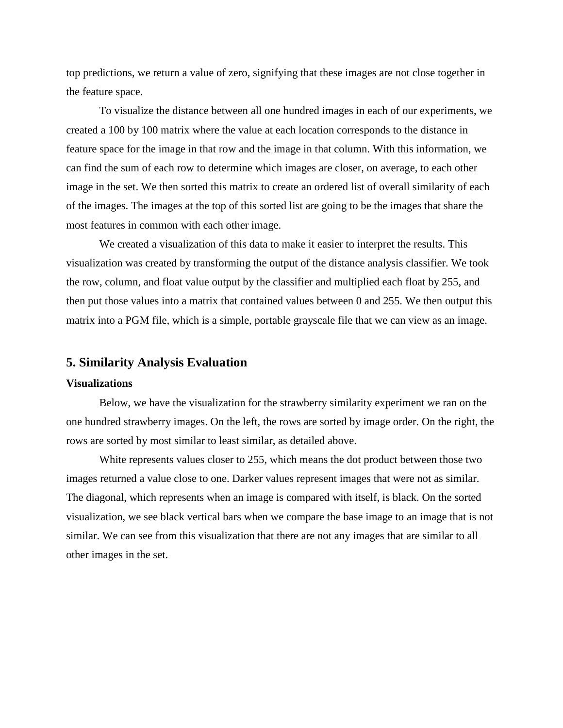top predictions, we return a value of zero, signifying that these images are not close together in the feature space.

To visualize the distance between all one hundred images in each of our experiments, we created a 100 by 100 matrix where the value at each location corresponds to the distance in feature space for the image in that row and the image in that column. With this information, we can find the sum of each row to determine which images are closer, on average, to each other image in the set. We then sorted this matrix to create an ordered list of overall similarity of each of the images. The images at the top of this sorted list are going to be the images that share the most features in common with each other image.

We created a visualization of this data to make it easier to interpret the results. This visualization was created by transforming the output of the distance analysis classifier. We took the row, column, and float value output by the classifier and multiplied each float by 255, and then put those values into a matrix that contained values between 0 and 255. We then output this matrix into a PGM file, which is a simple, portable grayscale file that we can view as an image.

#### **5. Similarity Analysis Evaluation**

#### **Visualizations**

Below, we have the visualization for the strawberry similarity experiment we ran on the one hundred strawberry images. On the left, the rows are sorted by image order. On the right, the rows are sorted by most similar to least similar, as detailed above.

White represents values closer to 255, which means the dot product between those two images returned a value close to one. Darker values represent images that were not as similar. The diagonal, which represents when an image is compared with itself, is black. On the sorted visualization, we see black vertical bars when we compare the base image to an image that is not similar. We can see from this visualization that there are not any images that are similar to all other images in the set.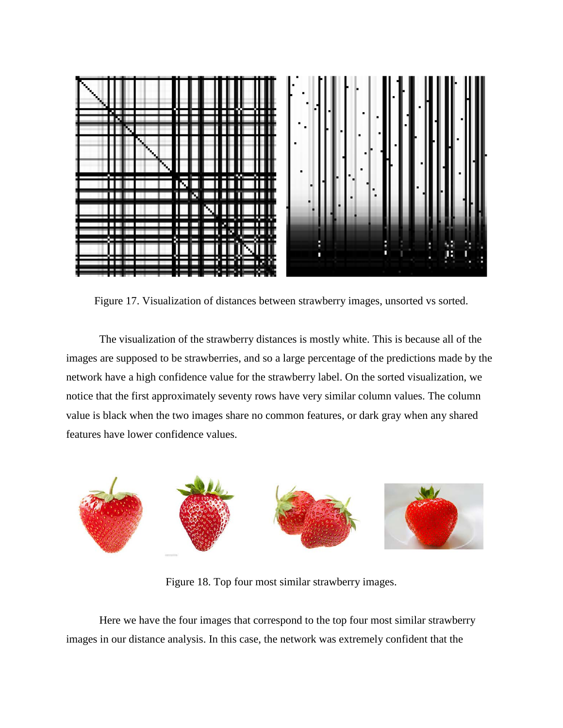

Figure 17. Visualization of distances between strawberry images, unsorted vs sorted.

The visualization of the strawberry distances is mostly white. This is because all of the images are supposed to be strawberries, and so a large percentage of the predictions made by the network have a high confidence value for the strawberry label. On the sorted visualization, we notice that the first approximately seventy rows have very similar column values. The column value is black when the two images share no common features, or dark gray when any shared features have lower confidence values.



Figure 18. Top four most similar strawberry images.

Here we have the four images that correspond to the top four most similar strawberry images in our distance analysis. In this case, the network was extremely confident that the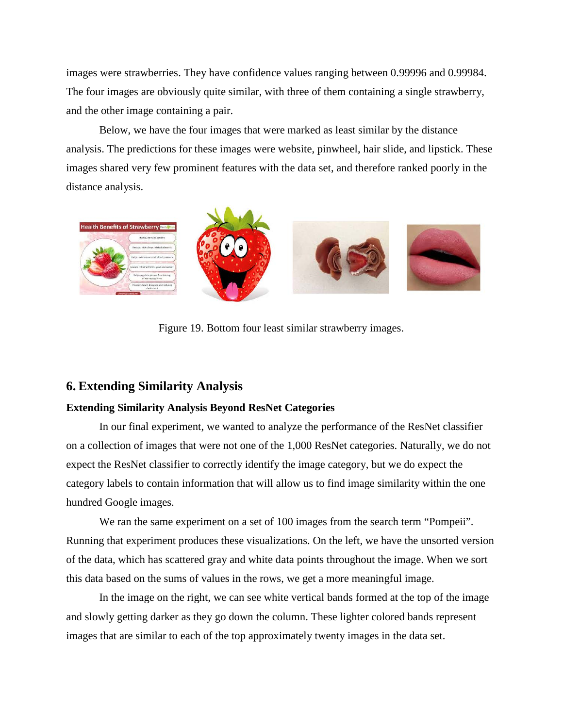images were strawberries. They have confidence values ranging between 0.99996 and 0.99984. The four images are obviously quite similar, with three of them containing a single strawberry, and the other image containing a pair.

Below, we have the four images that were marked as least similar by the distance analysis. The predictions for these images were website, pinwheel, hair slide, and lipstick. These images shared very few prominent features with the data set, and therefore ranked poorly in the distance analysis.



Figure 19. Bottom four least similar strawberry images.

#### **6. Extending Similarity Analysis**

#### **Extending Similarity Analysis Beyond ResNet Categories**

In our final experiment, we wanted to analyze the performance of the ResNet classifier on a collection of images that were not one of the 1,000 ResNet categories. Naturally, we do not expect the ResNet classifier to correctly identify the image category, but we do expect the category labels to contain information that will allow us to find image similarity within the one hundred Google images.

We ran the same experiment on a set of 100 images from the search term "Pompeii". Running that experiment produces these visualizations. On the left, we have the unsorted version of the data, which has scattered gray and white data points throughout the image. When we sort this data based on the sums of values in the rows, we get a more meaningful image.

In the image on the right, we can see white vertical bands formed at the top of the image and slowly getting darker as they go down the column. These lighter colored bands represent images that are similar to each of the top approximately twenty images in the data set.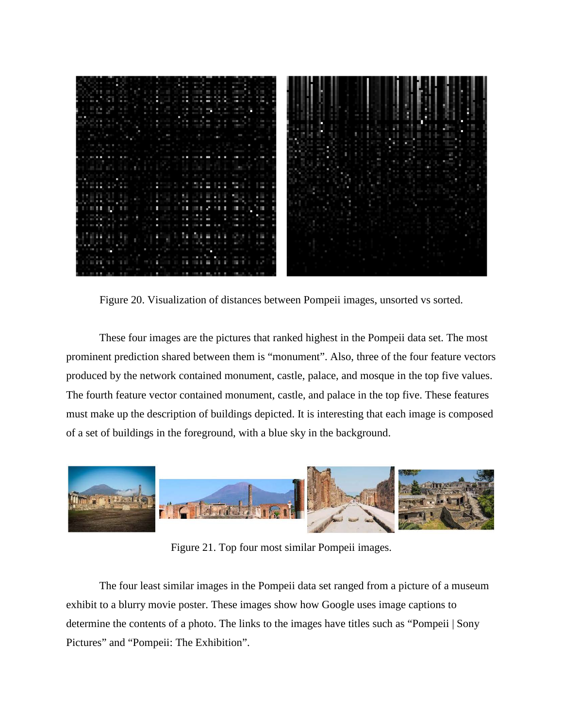

Figure 20. Visualization of distances between Pompeii images, unsorted vs sorted.

These four images are the pictures that ranked highest in the Pompeii data set. The most prominent prediction shared between them is "monument". Also, three of the four feature vectors produced by the network contained monument, castle, palace, and mosque in the top five values. The fourth feature vector contained monument, castle, and palace in the top five. These features must make up the description of buildings depicted. It is interesting that each image is composed of a set of buildings in the foreground, with a blue sky in the background.



Figure 21. Top four most similar Pompeii images.

The four least similar images in the Pompeii data set ranged from a picture of a museum exhibit to a blurry movie poster. These images show how Google uses image captions to determine the contents of a photo. The links to the images have titles such as "Pompeii | Sony Pictures" and "Pompeii: The Exhibition".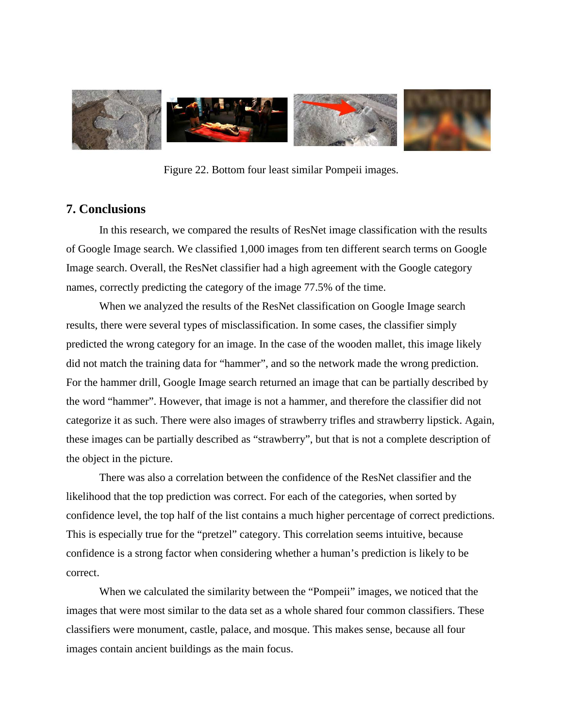

Figure 22. Bottom four least similar Pompeii images.

## **7. Conclusions**

In this research, we compared the results of ResNet image classification with the results of Google Image search. We classified 1,000 images from ten different search terms on Google Image search. Overall, the ResNet classifier had a high agreement with the Google category names, correctly predicting the category of the image 77.5% of the time.

When we analyzed the results of the ResNet classification on Google Image search results, there were several types of misclassification. In some cases, the classifier simply predicted the wrong category for an image. In the case of the wooden mallet, this image likely did not match the training data for "hammer", and so the network made the wrong prediction. For the hammer drill, Google Image search returned an image that can be partially described by the word "hammer". However, that image is not a hammer, and therefore the classifier did not categorize it as such. There were also images of strawberry trifles and strawberry lipstick. Again, these images can be partially described as "strawberry", but that is not a complete description of the object in the picture.

There was also a correlation between the confidence of the ResNet classifier and the likelihood that the top prediction was correct. For each of the categories, when sorted by confidence level, the top half of the list contains a much higher percentage of correct predictions. This is especially true for the "pretzel" category. This correlation seems intuitive, because confidence is a strong factor when considering whether a human's prediction is likely to be correct.

When we calculated the similarity between the "Pompeii" images, we noticed that the images that were most similar to the data set as a whole shared four common classifiers. These classifiers were monument, castle, palace, and mosque. This makes sense, because all four images contain ancient buildings as the main focus.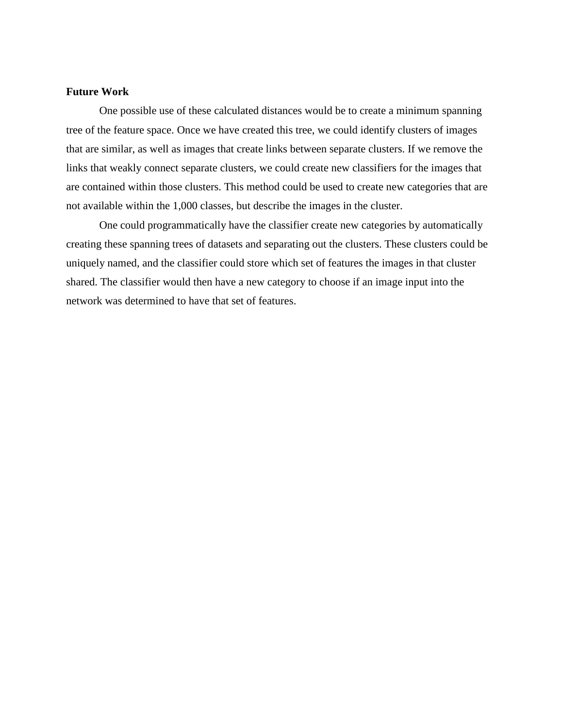#### **Future Work**

One possible use of these calculated distances would be to create a minimum spanning tree of the feature space. Once we have created this tree, we could identify clusters of images that are similar, as well as images that create links between separate clusters. If we remove the links that weakly connect separate clusters, we could create new classifiers for the images that are contained within those clusters. This method could be used to create new categories that are not available within the 1,000 classes, but describe the images in the cluster.

One could programmatically have the classifier create new categories by automatically creating these spanning trees of datasets and separating out the clusters. These clusters could be uniquely named, and the classifier could store which set of features the images in that cluster shared. The classifier would then have a new category to choose if an image input into the network was determined to have that set of features.